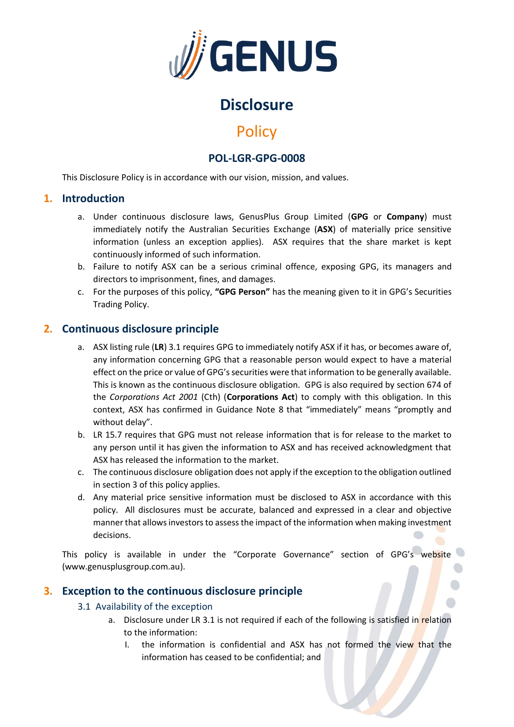

# **Disclosure**

# **Policy**

## **POL-LGR-GPG-0008**

This Disclosure Policy is in accordance with our vision, mission, and values.

### **1. Introduction**

- a. Under continuous disclosure laws, GenusPlus Group Limited (**GPG** or **Company**) must immediately notify the Australian Securities Exchange (**ASX**) of materially price sensitive information (unless an exception applies). ASX requires that the share market is kept continuously informed of such information.
- b. Failure to notify ASX can be a serious criminal offence, exposing GPG, its managers and directors to imprisonment, fines, and damages.
- c. For the purposes of this policy, **"GPG Person"** has the meaning given to it in GPG's Securities Trading Policy.

## **2. Continuous disclosure principle**

- a. ASX listing rule (**LR**) 3.1 requires GPG to immediately notify ASX if it has, or becomes aware of, any information concerning GPG that a reasonable person would expect to have a material effect on the price or value of GPG's securities were that information to be generally available. This is known as the continuous disclosure obligation. GPG is also required by section 674 of the *Corporations Act 2001* (Cth) (**Corporations Act**) to comply with this obligation. In this context, ASX has confirmed in Guidance Note 8 that "immediately" means "promptly and without delay".
- b. LR 15.7 requires that GPG must not release information that is for release to the market to any person until it has given the information to ASX and has received acknowledgment that ASX has released the information to the market.
- c. The continuous disclosure obligation does not apply if the exception to the obligation outlined in section [3](#page-0-0) of this policy applies.
- d. Any material price sensitive information must be disclosed to ASX in accordance with this policy. All disclosures must be accurate, balanced and expressed in a clear and objective manner that allows investors to assess the impact of the information when making investment decisions.

This policy is available in under the "Corporate Governance" section of GPG's website (www.genusplusgroup.com.au).

## <span id="page-0-0"></span>**3. Exception to the continuous disclosure principle**

#### 3.1 Availability of the exception

- a. Disclosure under LR 3.1 is not required if each of the following is satisfied in relation to the information:
	- I. the information is confidential and ASX has not formed the view that the information has ceased to be confidential; and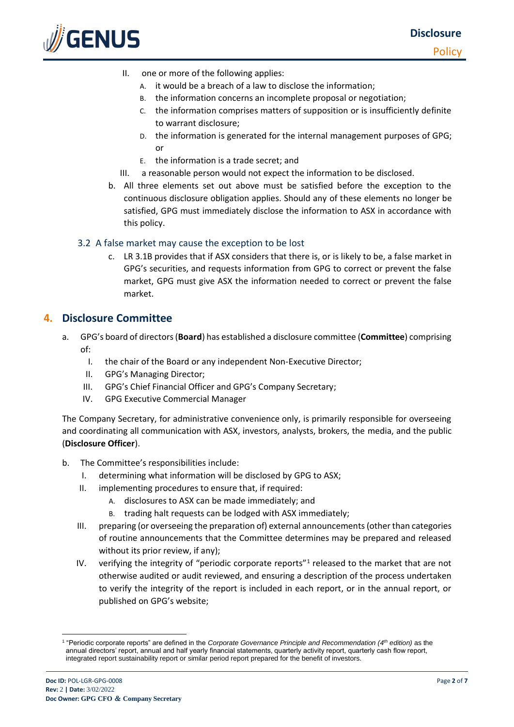

- II. one or more of the following applies:
	- A. it would be a breach of a law to disclose the information;
	- B. the information concerns an incomplete proposal or negotiation;
	- C. the information comprises matters of supposition or is insufficiently definite to warrant disclosure;
	- D. the information is generated for the internal management purposes of GPG; or
	- E. the information is a trade secret; and
- III. a reasonable person would not expect the information to be disclosed.
- b. All three elements set out above must be satisfied before the exception to the continuous disclosure obligation applies. Should any of these elements no longer be satisfied, GPG must immediately disclose the information to ASX in accordance with this policy.

#### 3.2 A false market may cause the exception to be lost

c. LR 3.1B provides that if ASX considers that there is, or is likely to be, a false market in GPG's securities, and requests information from GPG to correct or prevent the false market, GPG must give ASX the information needed to correct or prevent the false market.

### **4. Disclosure Committee**

- <span id="page-1-0"></span>a. GPG's board of directors (**Board**) has established a disclosure committee (**Committee**) comprising of:
	- I. the chair of the Board or any independent Non-Executive Director;
	- II. GPG's Managing Director;
	- III. GPG's Chief Financial Officer and GPG's Company Secretary;
	- IV. GPG Executive Commercial Manager

The Company Secretary, for administrative convenience only, is primarily responsible for overseeing and coordinating all communication with ASX, investors, analysts, brokers, the media, and the public (**Disclosure Officer**).

- b. The Committee's responsibilities include:
	- I. determining what information will be disclosed by GPG to ASX;
	- II. implementing procedures to ensure that, if required:
		- A. disclosures to ASX can be made immediately; and
		- trading halt requests can be lodged with ASX immediately;
	- III. preparing (or overseeing the preparation of) external announcements (other than categories of routine announcements that the Committee determines may be prepared and released without its prior review, if any);
	- IV. verifying the integrity of "periodic corporate reports"<sup>1</sup> released to the market that are not otherwise audited or audit reviewed, and ensuring a description of the process undertaken to verify the integrity of the report is included in each report, or in the annual report, or published on GPG's website;

<sup>1</sup> "Periodic corporate reports" are defined in the *Corporate Governance Principle and Recommendation (4th edition)* as the annual directors' report, annual and half yearly financial statements, quarterly activity report, quarterly cash flow report, integrated report sustainability report or similar period report prepared for the benefit of investors.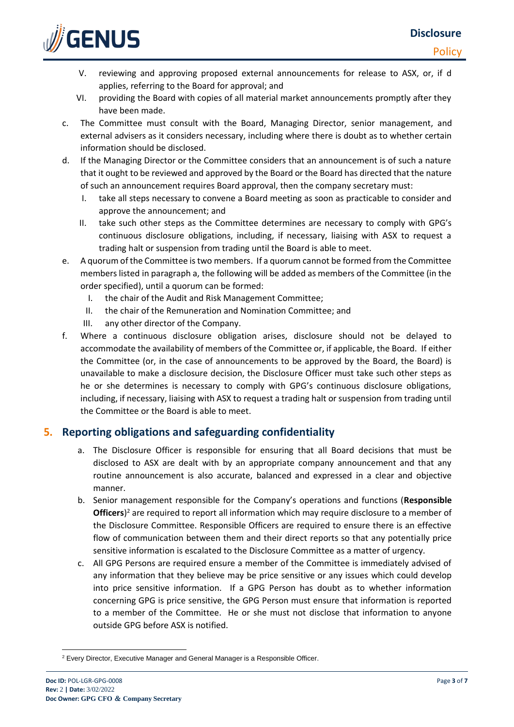**Policy** 



- V. reviewing and approving proposed external announcements for release to ASX, or, if [d](#page-2-0) applies, referring to the Board for approval; and
- VI. providing the Board with copies of all material market announcements promptly after they have been made.
- c. The Committee must consult with the Board, Managing Director, senior management, and external advisers as it considers necessary, including where there is doubt as to whether certain information should be disclosed.
- <span id="page-2-0"></span>d. If the Managing Director or the Committee considers that an announcement is of such a nature that it ought to be reviewed and approved by the Board or the Board has directed that the nature of such an announcement requires Board approval, then the company secretary must:
	- I. take all steps necessary to convene a Board meeting as soon as practicable to consider and approve the announcement; and
	- II. take such other steps as the Committee determines are necessary to comply with GPG's continuous disclosure obligations, including, if necessary, liaising with ASX to request a trading halt or suspension from trading until the Board is able to meet.
- e. A quorum of the Committee is two members. If a quorum cannot be formed from the Committee members listed in paragrap[h a,](#page-1-0) the following will be added as members of the Committee (in the order specified), until a quorum can be formed:
	- I. the chair of the Audit and Risk Management Committee;
	- II. the chair of the Remuneration and Nomination Committee; and
	- III. any other director of the Company.
- <span id="page-2-1"></span>f. Where a continuous disclosure obligation arises, disclosure should not be delayed to accommodate the availability of members of the Committee or, if applicable, the Board. If either the Committee (or, in the case of announcements to be approved by the Board, the Board) is unavailable to make a disclosure decision, the Disclosure Officer must take such other steps as he or she determines is necessary to comply with GPG's continuous disclosure obligations, including, if necessary, liaising with ASX to request a trading halt or suspension from trading until the Committee or the Board is able to meet.

### **5. Reporting obligations and safeguarding confidentiality**

- a. The Disclosure Officer is responsible for ensuring that all Board decisions that must be disclosed to ASX are dealt with by an appropriate company announcement and that any routine announcement is also accurate, balanced and expressed in a clear and objective manner.
- b. Senior management responsible for the Company's operations and functions (**Responsible Officers**) <sup>2</sup> are required to report all information which may require disclosure to a member of the Disclosure Committee. Responsible Officers are required to ensure there is an effective flow of communication between them and their direct reports so that any potentially price sensitive information is escalated to the Disclosure Committee as a matter of urgency.
- c. All GPG Persons are required ensure a member of the Committee is immediately advised of any information that they believe may be price sensitive or any issues which could develop into price sensitive information. If a GPG Person has doubt as to whether information concerning GPG is price sensitive, the GPG Person must ensure that information is reported to a member of the Committee. He or she must not disclose that information to anyone outside GPG before ASX is notified.

<sup>2</sup> Every Director, Executive Manager and General Manager is a Responsible Officer.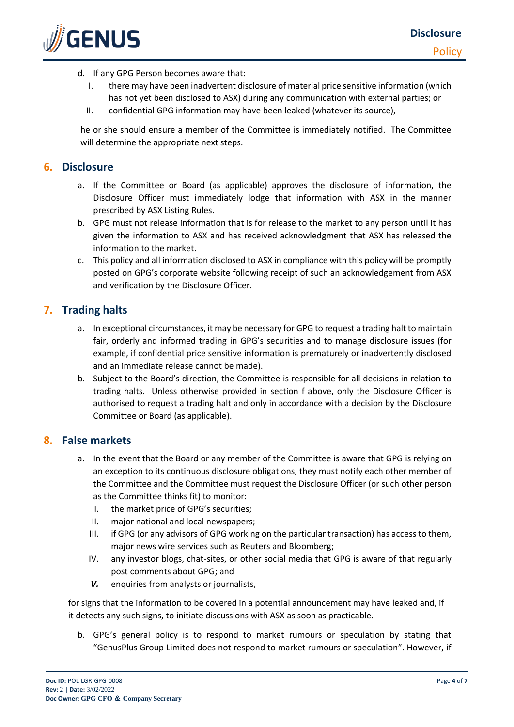

- d. If any GPG Person becomes aware that:
	- I. there may have been inadvertent disclosure of material price sensitive information (which has not yet been disclosed to ASX) during any communication with external parties; or
	- II. confidential GPG information may have been leaked (whatever its source),

he or she should ensure a member of the Committee is immediately notified. The Committee will determine the appropriate next steps.

### **6. Disclosure**

- a. If the Committee or Board (as applicable) approves the disclosure of information, the Disclosure Officer must immediately lodge that information with ASX in the manner prescribed by ASX Listing Rules.
- b. GPG must not release information that is for release to the market to any person until it has given the information to ASX and has received acknowledgment that ASX has released the information to the market.
- c. This policy and all information disclosed to ASX in compliance with this policy will be promptly posted on GPG's corporate website following receipt of such an acknowledgement from ASX and verification by the Disclosure Officer.

## **7. Trading halts**

- a. In exceptional circumstances, it may be necessary for GPG to request a trading halt to maintain fair, orderly and informed trading in GPG's securities and to manage disclosure issues (for example, if confidential price sensitive information is prematurely or inadvertently disclosed and an immediate release cannot be made).
- b. Subject to the Board's direction, the Committee is responsible for all decisions in relation to trading halts. Unless otherwise provided in section [f](#page-2-1) above, only the Disclosure Officer is authorised to request a trading halt and only in accordance with a decision by the Disclosure Committee or Board (as applicable).

### **8. False markets**

- a. In the event that the Board or any member of the Committee is aware that GPG is relying on an exception to its continuous disclosure obligations, they must notify each other member of the Committee and the Committee must request the Disclosure Officer (or such other person as the Committee thinks fit) to monitor:
	- I. the market price of GPG's securities;
	- II. major national and local newspapers;
	- III. if GPG (or any advisors of GPG working on the particular transaction) has access to them, major news wire services such as Reuters and Bloomberg;
	- IV. any investor blogs, chat-sites, or other social media that GPG is aware of that regularly post comments about GPG; and
	- *V.* enquiries from analysts or journalists,

for signs that the information to be covered in a potential announcement may have leaked and, if it detects any such signs, to initiate discussions with ASX as soon as practicable.

b. GPG's general policy is to respond to market rumours or speculation by stating that "GenusPlus Group Limited does not respond to market rumours or speculation". However, if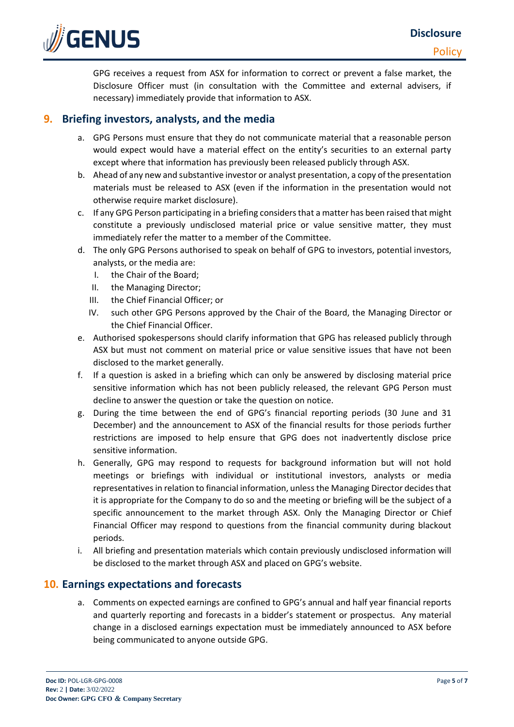

GPG receives a request from ASX for information to correct or prevent a false market, the Disclosure Officer must (in consultation with the Committee and external advisers, if necessary) immediately provide that information to ASX.

## **9. Briefing investors, analysts, and the media**

- a. GPG Persons must ensure that they do not communicate material that a reasonable person would expect would have a material effect on the entity's securities to an external party except where that information has previously been released publicly through ASX.
- b. Ahead of any new and substantive investor or analyst presentation, a copy of the presentation materials must be released to ASX (even if the information in the presentation would not otherwise require market disclosure).
- c. If any GPG Person participating in a briefing considers that a matter has been raised that might constitute a previously undisclosed material price or value sensitive matter, they must immediately refer the matter to a member of the Committee.
- d. The only GPG Persons authorised to speak on behalf of GPG to investors, potential investors, analysts, or the media are:
	- I. the Chair of the Board;
	- II. the Managing Director;
	- III. the Chief Financial Officer; or
	- IV. such other GPG Persons approved by the Chair of the Board, the Managing Director or the Chief Financial Officer.
- e. Authorised spokespersons should clarify information that GPG has released publicly through ASX but must not comment on material price or value sensitive issues that have not been disclosed to the market generally.
- f. If a question is asked in a briefing which can only be answered by disclosing material price sensitive information which has not been publicly released, the relevant GPG Person must decline to answer the question or take the question on notice.
- g. During the time between the end of GPG's financial reporting periods (30 June and 31 December) and the announcement to ASX of the financial results for those periods further restrictions are imposed to help ensure that GPG does not inadvertently disclose price sensitive information.
- h. Generally, GPG may respond to requests for background information but will not hold meetings or briefings with individual or institutional investors, analysts or media representatives in relation to financial information, unless the Managing Director decides that it is appropriate for the Company to do so and the meeting or briefing will be the subject of a specific announcement to the market through ASX. Only the Managing Director or Chief Financial Officer may respond to questions from the financial community during blackout periods.
- i. All briefing and presentation materials which contain previously undisclosed information will be disclosed to the market through ASX and placed on GPG's website.

## **10. Earnings expectations and forecasts**

a. Comments on expected earnings are confined to GPG's annual and half year financial reports and quarterly reporting and forecasts in a bidder's statement or prospectus. Any material change in a disclosed earnings expectation must be immediately announced to ASX before being communicated to anyone outside GPG.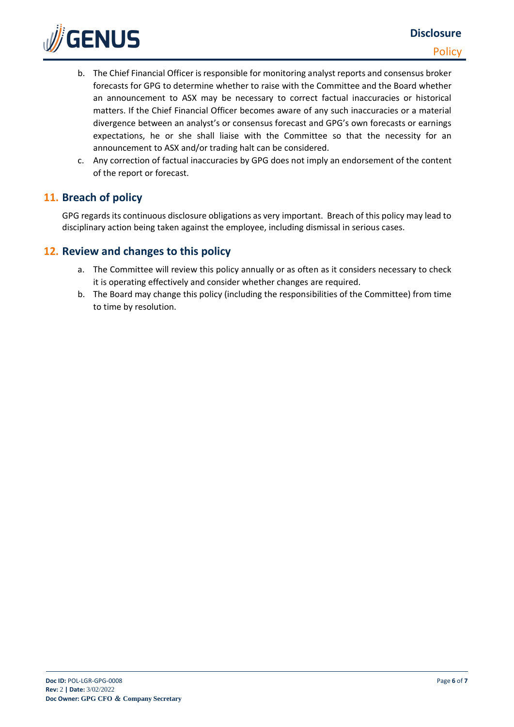

- b. The Chief Financial Officer is responsible for monitoring analyst reports and consensus broker forecasts for GPG to determine whether to raise with the Committee and the Board whether an announcement to ASX may be necessary to correct factual inaccuracies or historical matters. If the Chief Financial Officer becomes aware of any such inaccuracies or a material divergence between an analyst's or consensus forecast and GPG's own forecasts or earnings expectations, he or she shall liaise with the Committee so that the necessity for an announcement to ASX and/or trading halt can be considered.
- c. Any correction of factual inaccuracies by GPG does not imply an endorsement of the content of the report or forecast.

## **11. Breach of policy**

GPG regards its continuous disclosure obligations as very important. Breach of this policy may lead to disciplinary action being taken against the employee, including dismissal in serious cases.

## **12. Review and changes to this policy**

- a. The Committee will review this policy annually or as often as it considers necessary to check it is operating effectively and consider whether changes are required.
- b. The Board may change this policy (including the responsibilities of the Committee) from time to time by resolution.